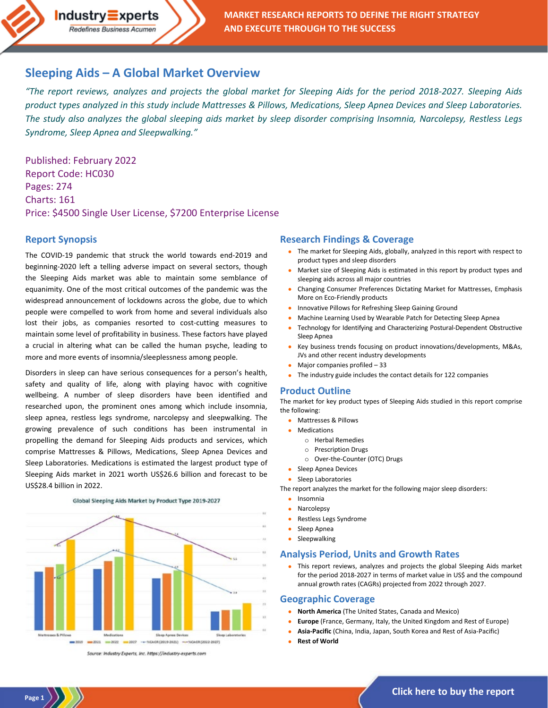

## **Sleeping Aids – [A Global Market Overview](https://industry-experts.com/verticals/healthcare-and-pharma/global-sleeping-aids-market)**

*"The report reviews, analyzes and projects the global market for Sleeping Aids for the period 2018-2027. Sleeping Aids product types analyzed in this study include Mattresses & Pillows, Medications, Sleep Apnea Devices and Sleep Laboratories. The study also analyzes the global sleeping aids market by sleep disorder comprising Insomnia, Narcolepsy, Restless Legs Syndrome, Sleep Apnea and Sleepwalking."*

Published: February 2022 Report Code: HC030 Pages: 274 Charts: 161 Price: \$4500 Single User License, \$7200 Enterprise License

### **Report Synopsis**

The COVID-19 pandemic that struck the world towards end-2019 and beginning-2020 left a telling adverse impact on several sectors, though the Sleeping Aids market was able to maintain some semblance of equanimity. One of the most critical outcomes of the pandemic was the widespread announcement of lockdowns across the globe, due to which people were compelled to work from home and several individuals also lost their jobs, as companies resorted to cost-cutting measures to maintain some level of profitability in business. These factors have played a crucial in altering what can be called the human psyche, leading to more and more events of insomnia/sleeplessness among people.

Disorders in sleep can have serious consequences for a person's health, safety and quality of life, along with playing havoc with cognitive wellbeing. A number of sleep disorders have been identified and researched upon, the prominent ones among which include insomnia, sleep apnea, restless legs syndrome, narcolepsy and sleepwalking. The growing prevalence of such conditions has been instrumental in propelling the demand for Sleeping Aids products and services, which comprise Mattresses & Pillows, Medications, Sleep Apnea Devices and Sleep Laboratories. Medications is estimated the largest product type of Sleeping Aids market in 2021 worth US\$26.6 billion and forecast to be US\$28.4 billion in 2022.



Global Sleeping Aids Market by Product Type 2019-2027

#### Source: Industry Experts, Inc. https://industry-experts.com

**Page 1**

#### **Research Findings & Coverage**

- The market for Sleeping Aids, globally, analyzed in this report with respect to product types and sleep disorders
- Market size of Sleeping Aids is estimated in this report by product types and sleeping aids across all major countries
- Changing Consumer Preferences Dictating Market for Mattresses, Emphasis More on Eco-Friendly products
- Innovative Pillows for Refreshing Sleep Gaining Ground
- Machine Learning Used by Wearable Patch for Detecting Sleep Apnea
- Technology for Identifying and Characterizing Postural-Dependent Obstructive Sleep Apnea
- Key business trends focusing on product innovations/developments, M&As, JVs and other recent industry developments
- Major companies profiled 33
- The industry guide includes the contact details for 122 companies

#### **Product Outline**

The market for key product types of Sleeping Aids studied in this report comprise the following:

- Mattresses & Pillows
- Medications
	- o Herbal Remedies
	- o Prescription Drugs
	- o Over-the-Counter (OTC) Drugs
- Sleep Apnea Devices
- Sleep Laboratories
- The report analyzes the market for the following major sleep disorders:
	- Insomnia
	- **Narcolepsy**
	- Restless Legs Syndrome
	- Sleep Apnea
	- Sleepwalking

#### **Analysis Period, Units and Growth Rates**

• This report reviews, analyzes and projects the global Sleeping Aids market for the period 2018-2027 in terms of market value in US\$ and the compound annual growth rates (CAGRs) projected from 2022 through 2027.

#### **Geographic Coverage**

- **North America** (The United States, Canada and Mexico)
- **Europe** (France, Germany, Italy, the United Kingdom and Rest of Europe)
- **Asia-Pacific** (China, India, Japan, South Korea and Rest of Asia-Pacific)
- **Rest of World**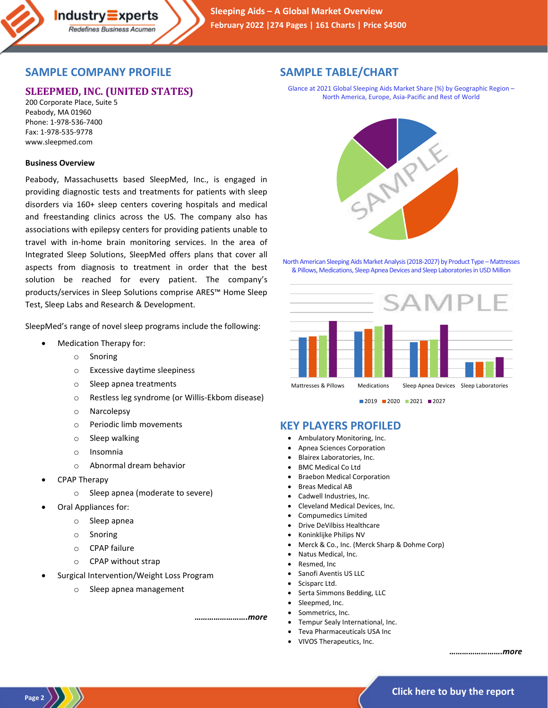## **SAMPLE COMPANY PROFILE**

# **SLEEPMED, INC. (UNITED STATES)**

 $Industry\equiv xperts$ Redefines Business Acumen

200 Corporate Place, Suite 5 Peabody, MA 01960 Phone: 1-978-536-7400 Fax: 1-978-535-9778 www.sleepmed.com

### **Business Overview**

Peabody, Massachusetts based SleepMed, Inc., is engaged in providing diagnostic tests and treatments for patients with sleep disorders via 160+ sleep centers covering hospitals and medical and freestanding clinics across the US. The company also has associations with epilepsy centers for providing patients unable to travel with in-home brain monitoring services. In the area of Integrated Sleep Solutions, SleepMed offers plans that cover all aspects from diagnosis to treatment in order that the best solution be reached for every patient. The company's products/services in Sleep Solutions comprise ARES™ Home Sleep Test, Sleep Labs and Research & Development.

SleepMed's range of novel sleep programs include the following:

- Medication Therapy for:
	- o Snoring
	- o Excessive daytime sleepiness
	- o Sleep apnea treatments
	- o Restless leg syndrome (or Willis-Ekbom disease)
	- o Narcolepsy
	- o Periodic limb movements
	- o Sleep walking
	- o Insomnia
	- o Abnormal dream behavior
- CPAP Therapy

**Page 2**

- o Sleep apnea (moderate to severe)
- Oral Appliances for:
	- o Sleep apnea
	- o Snoring
	- o CPAP failure
	- o CPAP without strap
- Surgical Intervention/Weight Loss Program
	- o Sleep apnea management

*…………………….more*

# **SAMPLE TABLE/CHART**

Glance at 2021 Global Sleeping Aids Market Share (%) by Geographic Region – North America, Europe, Asia-Pacific and Rest of World



North American Sleeping Aids Market Analysis (2018-2027) by Product Type – Mattresses & Pillows, Medications, Sleep Apnea Devices and Sleep Laboratories in USD Million



■2019 2020 2021 2027

### **KEY PLAYERS PROFILED**

- Ambulatory Monitoring, Inc.
- Apnea Sciences Corporation
- Blairex Laboratories, Inc.
- BMC Medical Co Ltd
- Braebon Medical Corporation
- **Breas Medical AB**
- Cadwell Industries, Inc.
- Cleveland Medical Devices, Inc.
- Compumedics Limited
- Drive DeVilbiss Healthcare
- Koninklijke Philips NV
- Merck & Co., Inc. (Merck Sharp & Dohme Corp)
- Natus Medical, Inc.
- Resmed, Inc
	- Sanofi Aventis US LLC
- Scisparc Ltd.
- Serta Simmons Bedding, LLC
- Sleepmed, Inc.
- Sommetrics, Inc.
- Tempur Sealy International, Inc.
- Teva Pharmaceuticals USA Inc
- VIVOS Therapeutics, Inc.

*…………………….more*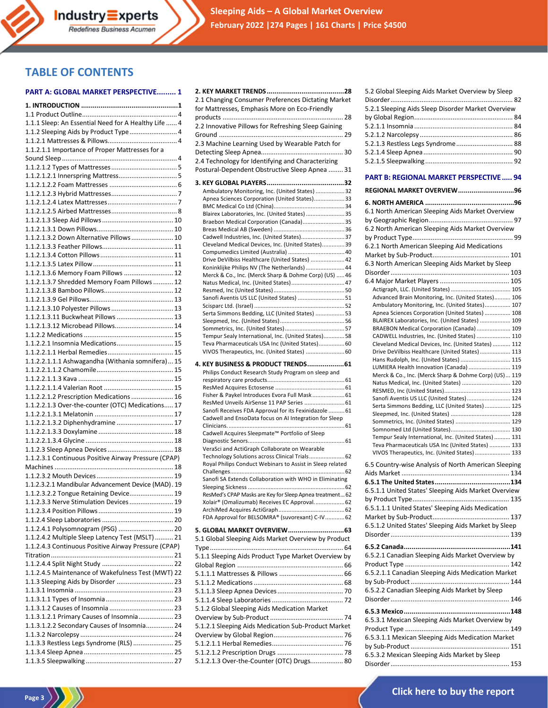**2. KEY MARKET TRENDS........................................28**

## **TABLE OF CONTENTS**

#### **PART A: GLOBAL MARKET PERSPECTIVE......... 1**

| 1.1.1 Sleep: An Essential Need for A Healthy Life  4 |  |
|------------------------------------------------------|--|
| 1.1.2 Sleeping Aids by Product Type 4                |  |
|                                                      |  |
| 1.1.2.1.1 Importance of Proper Mattresses for a      |  |
|                                                      |  |
|                                                      |  |
|                                                      |  |
|                                                      |  |
|                                                      |  |
|                                                      |  |
|                                                      |  |
|                                                      |  |
|                                                      |  |
|                                                      |  |
| 1.1.2.1.3.2 Down Alternative Pillows  10             |  |
|                                                      |  |
|                                                      |  |
|                                                      |  |
|                                                      |  |
| 1.1.2.1.3.6 Memory Foam Pillows  12                  |  |
| 1.1.2.1.3.7 Shredded Memory Foam Pillows  12         |  |
|                                                      |  |
|                                                      |  |
| 1.1.2.1.3.10 Polyester Pillows  13                   |  |
| 1.1.2.1.3.11 Buckwheat Pillows  13                   |  |
|                                                      |  |
| 1.1.2.1.3.12 Microbead Pillows 14                    |  |
|                                                      |  |
| 1.1.2.2.1 Insomnia Medications 15                    |  |
|                                                      |  |
| 1.1.2.2.1.1.1 Ashwagandha (Withania somnifera) 15    |  |
|                                                      |  |
|                                                      |  |
|                                                      |  |
|                                                      |  |
| 1.1.2.2.1.2 Prescription Medications  16             |  |
| 1.1.2.2.1.3 Over-the-counter (OTC) Medications 17    |  |
|                                                      |  |
| 1.1.2.2.1.3.2 Diphenhydramine  17                    |  |
|                                                      |  |
|                                                      |  |
|                                                      |  |
| 1.1.2.3.1 Continuous Positive Airway Pressure (CPAP) |  |
|                                                      |  |
|                                                      |  |
|                                                      |  |
| 1.1.2.3.2.1 Mandibular Advancement Device (MAD). 19  |  |
| 1.1.2.3.2.2 Tongue Retaining Device 19               |  |
| 1.1.2.3.3 Nerve Stimulation Devices  19              |  |
|                                                      |  |
|                                                      |  |
|                                                      |  |
| 1.1.2.4.1 Polysomnogram (PSG)  20                    |  |
| 1.1.2.4.2 Multiple Sleep Latency Test (MSLT)  21     |  |
| 1.1.2.4.3 Continuous Positive Airway Pressure (CPAP) |  |
|                                                      |  |
|                                                      |  |
| 1.1.2.4.5 Maintenance of Wakefulness Test (MWT) 22   |  |
|                                                      |  |
| 1.1.3 Sleeping Aids by Disorder  23                  |  |
|                                                      |  |
|                                                      |  |
|                                                      |  |
| 1.1.3.1.2.1 Primary Causes of Insomnia 23            |  |
| 1.1.3.1.2.2 Secondary Causes of Insomnia 24          |  |
|                                                      |  |
| 1.1.3.3 Restless Legs Syndrome (RLS)  25             |  |
|                                                      |  |
|                                                      |  |
|                                                      |  |

Page 3 $\langle \rangle$ 

| 2.1 Changing Consumer Preferences Dictating Market                                                     |  |
|--------------------------------------------------------------------------------------------------------|--|
| for Mattresses, Emphasis More on Eco-Friendly                                                          |  |
|                                                                                                        |  |
| 2.2 Innovative Pillows for Refreshing Sleep Gaining                                                    |  |
|                                                                                                        |  |
| 2.3 Machine Learning Used by Wearable Patch for                                                        |  |
|                                                                                                        |  |
| 2.4 Technology for Identifying and Characterizing                                                      |  |
| Postural-Dependent Obstructive Sleep Apnea  31                                                         |  |
|                                                                                                        |  |
| Ambulatory Monitoring, Inc. (United States) 32                                                         |  |
| Apnea Sciences Corporation (United States)33                                                           |  |
|                                                                                                        |  |
| Blairex Laboratories, Inc. (United States)  35                                                         |  |
| Braebon Medical Corporation (Canada) 35                                                                |  |
| Cadwell Industries, Inc. (United States)37                                                             |  |
| Cleveland Medical Devices, Inc. (United States) 39                                                     |  |
|                                                                                                        |  |
| Drive DeVilbiss Healthcare (United States)  42                                                         |  |
| Koninklijke Philips NV (The Netherlands)  44                                                           |  |
| Merck & Co., Inc. (Merck Sharp & Dohme Corp) (US)  46<br>Natus Medical, Inc. (United States) 47        |  |
|                                                                                                        |  |
| Sanofi Aventis US LLC (United States)  51                                                              |  |
|                                                                                                        |  |
| Serta Simmons Bedding, LLC (United States)  53                                                         |  |
|                                                                                                        |  |
|                                                                                                        |  |
| Tempur Sealy International, Inc. (United States) 58<br>Teva Pharmaceuticals USA Inc (United States) 60 |  |
| VIVOS Therapeutics, Inc. (United States)  60                                                           |  |
|                                                                                                        |  |
| 4. KEY BUSINESS & PRODUCT TRENDS 61                                                                    |  |
| Philips Conduct Research Study Program on sleep and                                                    |  |
|                                                                                                        |  |
| Fisher & Paykel Introduces Evora Full Mask  61                                                         |  |
| ResMed Unveils AirSense 11 PAP Series  61                                                              |  |
| Sanofi Receives FDA Approval for its Fexinidazole  61                                                  |  |
| Cadwell and EnsoData focus on AI Integration for Sleep                                                 |  |
|                                                                                                        |  |
| Cadwell Acquires Sleepmate™ Portfolio of Sleep                                                         |  |
| VeraSci and ActiGraph Collaborate on Wearable                                                          |  |
| Technology Solutions across Clinical Trials 62                                                         |  |
| Royal Philips Conduct Webinars to Assist in Sleep related                                              |  |
|                                                                                                        |  |
| Sanofi SA Extends Collaboration with WHO in Eliminating                                                |  |
| ResMed's CPAP Masks are Key for Sleep Apnea treatment 62                                               |  |
| Xolair® (Omalizumab) Receives EC Approval 62                                                           |  |
|                                                                                                        |  |
| FDA Approval for BELSOMRA® (suvorexant) C-IV 62                                                        |  |
| 5. GLOBAL MARKET OVERVIEW63                                                                            |  |
| 5.1 Global Sleeping Aids Market Overview by Product                                                    |  |
|                                                                                                        |  |
| 5.1.1 Sleeping Aids Product Type Market Overview by                                                    |  |
|                                                                                                        |  |
|                                                                                                        |  |
|                                                                                                        |  |
|                                                                                                        |  |
|                                                                                                        |  |
| 5.1.2 Global Sleeping Aids Medication Market                                                           |  |
|                                                                                                        |  |
| 5.1.2.1 Sleeping Aids Medication Sub-Product Market                                                    |  |
|                                                                                                        |  |
|                                                                                                        |  |
|                                                                                                        |  |
| 5.1.2.1.3 Over-the-Counter (OTC) Drugs 80                                                              |  |
|                                                                                                        |  |
|                                                                                                        |  |

| 5.2 Global Sleeping Aids Market Overview by Sleep  |  |
|----------------------------------------------------|--|
|                                                    |  |
| 5.2.1 Sleeping Aids Sleep Disorder Market Overview |  |
|                                                    |  |
|                                                    |  |
|                                                    |  |
| 5.2.1.3 Restless Legs Syndrome 88                  |  |
|                                                    |  |
|                                                    |  |
|                                                    |  |
|                                                    |  |

#### **PART B: REGIONAL MARKET PERSPECTIVE..... 94**

| REGIONAL MARKET OVERVIEW96                                                                         |
|----------------------------------------------------------------------------------------------------|
| 6.1 North American Sleeping Aids Market Overview                                                   |
| 6.2 North American Sleeping Aids Market Overview                                                   |
| 6.2.1 North American Sleeping Aid Medications                                                      |
|                                                                                                    |
| 6.3 North American Sleeping Aids Market by Sleep                                                   |
|                                                                                                    |
| Advanced Brain Monitoring, Inc. (United States) 106                                                |
| Ambulatory Monitoring, Inc. (United States) 107                                                    |
| Apnea Sciences Corporation (United States)  108                                                    |
| BLAIREX Laboratories, Inc. (United States)  109                                                    |
| BRAEBON Medical Corporation (Canada)  109<br>CADWELL Industries, Inc. (United States)  110         |
| Cleveland Medical Devices, Inc. (United States)  112                                               |
| Drive DeVilbiss Healthcare (United States) 113                                                     |
| Hans Rudolph, Inc. (United States)  115                                                            |
| LUMIERA Health Innovation (Canada)  119                                                            |
| Merck & Co., Inc. (Merck Sharp & Dohme Corp) (US)  119<br>Natus Medical, Inc. (United States)  120 |
|                                                                                                    |
| Sanofi Aventis US LLC (United States) 124                                                          |
| Serta Simmons Bedding, LLC (United States) 125                                                     |
| Sommetrics, Inc. (United States)  129                                                              |
|                                                                                                    |
| Tempur Sealy International, Inc. (United States)  131                                              |
| Teva Pharmaceuticals USA Inc (United States)  133                                                  |
| VIVOS Therapeutics, Inc. (United States)  133                                                      |
| 6.5 Country-wise Analysis of North American Sleeping                                               |
|                                                                                                    |
| 6.5.1.1 United States' Sleeping Aids Market Overview                                               |
|                                                                                                    |
| 6.5.1.1.1 United States' Sleeping Aids Medication                                                  |
|                                                                                                    |
| 6.5.1.2 United States' Sleeping Aids Market by Sleep                                               |
|                                                                                                    |
|                                                                                                    |
| 6.5.2.1 Canadian Sleeping Aids Market Overview by                                                  |
|                                                                                                    |
| 6.5.2.1.1 Canadian Sleeping Aids Medication Market                                                 |
| 6.5.2.2 Canadian Sleeping Aids Market by Sleep                                                     |
|                                                                                                    |
|                                                                                                    |
| 6.5.3.1 Mexican Sleeping Aids Market Overview by                                                   |
| 6.5.3.1.1 Mexican Sleeping Aids Medication Market                                                  |
|                                                                                                    |
| 6.5.3.2 Mexican Sleeping Aids Market by Sleep                                                      |
|                                                                                                    |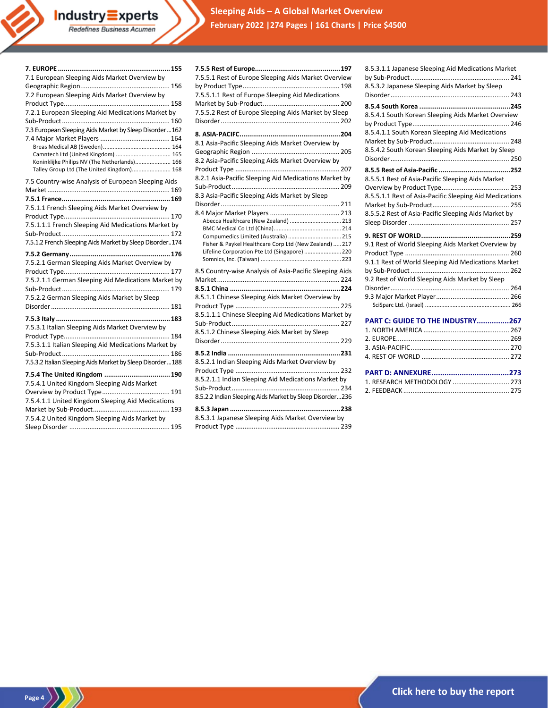| Industry $\equiv$ xperts<br>Redefines Business Acumen                                                                                                                                                                                                                                                                                              |  |
|----------------------------------------------------------------------------------------------------------------------------------------------------------------------------------------------------------------------------------------------------------------------------------------------------------------------------------------------------|--|
| 7.1 European Sleeping Aids Market Overview by<br>7.2 European Sleeping Aids Market Overview by<br>7.2.1 European Sleeping Aid Medications Market by<br>7.3 European Sleeping Aids Market by Sleep Disorder  162<br>Camntech Ltd (United Kingdom)  165<br>Koninklijke Philips NV (The Netherlands) 166<br>Talley Group Ltd (The United Kingdom) 168 |  |
| 7.5 Country-wise Analysis of European Sleeping Aids<br>7.5.1.1 French Sleeping Aids Market Overview by<br>7.5.1.1.1 French Sleeping Aid Medications Market by<br>7.5.1.2 French Sleeping Aids Market by Sleep Disorder174<br>$7.5.2$ Counters<br>17c                                                                                               |  |

| 7.5.1.1.1 French Sleeping Aid Medications Market by<br>7.5.1.2 French Sleeping Aids Market by Sleep Disorder174                                                                     |
|-------------------------------------------------------------------------------------------------------------------------------------------------------------------------------------|
| 7.5.2.1 German Sleeping Aids Market Overview by<br>7.5.2.1.1 German Sleeping Aid Medications Market by<br>7.5.2.2 German Sleeping Aids Market by Sleep                              |
| 7.5.3.1 Italian Sleeping Aids Market Overview by<br>7.5.3.1.1 Italian Sleeping Aid Medications Market by<br>7.5.3.2 Italian Sleeping Aids Market by Sleep Disorder188               |
| 7.5.4 The United Kingdom  190<br>7.5.4.1 United Kingdom Sleeping Aids Market<br>7.5.4.1.1 United Kingdom Sleeping Aid Medications<br>7.5.4.2 United Kingdom Sleeping Aids Market by |
|                                                                                                                                                                                     |

 $\binom{Page 4}{\sqrt{ }}$ 

| 7.5.5.1 Rest of Europe Sleeping Aids Market Overview     |  |
|----------------------------------------------------------|--|
|                                                          |  |
| 7.5.5.1.1 Rest of Europe Sleeping Aid Medications        |  |
|                                                          |  |
| 7.5.5.2 Rest of Europe Sleeping Aids Market by Sleep     |  |
|                                                          |  |
|                                                          |  |
| 8.1 Asia-Pacific Sleeping Aids Market Overview by        |  |
|                                                          |  |
| 8.2 Asia-Pacific Sleeping Aids Market Overview by        |  |
|                                                          |  |
| 8.2.1 Asia-Pacific Sleeping Aid Medications Market by    |  |
|                                                          |  |
| 8.3 Asia-Pacific Sleeping Aids Market by Sleep           |  |
|                                                          |  |
|                                                          |  |
| Abecca Healthcare (New Zealand)  213                     |  |
|                                                          |  |
| Compumedics Limited (Australia)  215                     |  |
| Fisher & Paykel Healthcare Corp Ltd (New Zealand)  217   |  |
| Lifeline Corporation Pte Ltd (Singapore)  220            |  |
|                                                          |  |
| 8.5 Country-wise Analysis of Asia-Pacific Sleeping Aids  |  |
|                                                          |  |
|                                                          |  |
| 8.5.1.1 Chinese Sleeping Aids Market Overview by         |  |
|                                                          |  |
| 8.5.1.1.1 Chinese Sleeping Aid Medications Market by     |  |
|                                                          |  |
| 8.5.1.2 Chinese Sleeping Aids Market by Sleep            |  |
|                                                          |  |
|                                                          |  |
| 8.5.2.1 Indian Sleeping Aids Market Overview by          |  |
|                                                          |  |
| 8.5.2.1.1 Indian Sleeping Aid Medications Market by      |  |
|                                                          |  |
| 8.5.2.2 Indian Sleeping Aids Market by Sleep Disorder236 |  |
|                                                          |  |
| 8.5.3.1 Japanese Sleeping Aids Market Overview by        |  |
|                                                          |  |
|                                                          |  |

| 8.5.3.1.1 Japanese Sleeping Aid Medications Market                                                    |
|-------------------------------------------------------------------------------------------------------|
| 8.5.3.2 Japanese Sleeping Aids Market by Sleep                                                        |
| 8.5.4.1 South Korean Sleeping Aids Market Overview                                                    |
| 8.5.4.1.1 South Korean Sleeping Aid Medications<br>8.5.4.2 South Korean Sleeping Aids Market by Sleep |
|                                                                                                       |
|                                                                                                       |
| 8.5.5.1 Rest of Asia-Pacific Sleeping Aids Market                                                     |
|                                                                                                       |
| 8.5.5.1.1 Rest of Asia-Pacific Sleeping Aid Medications                                               |
|                                                                                                       |
| 8.5.5.2 Rest of Asia-Pacific Sleeping Aids Market by                                                  |
|                                                                                                       |
|                                                                                                       |
|                                                                                                       |
| 9.1 Rest of World Sleeping Aids Market Overview by                                                    |
| 9.1.1 Rest of World Sleeping Aid Medications Market                                                   |
| 9.2 Rest of World Sleeping Aids Market by Sleep                                                       |
|                                                                                                       |
|                                                                                                       |
|                                                                                                       |
|                                                                                                       |
| PART C: GUIDE TO THE INDUSTRY267                                                                      |
|                                                                                                       |
|                                                                                                       |
|                                                                                                       |
|                                                                                                       |
|                                                                                                       |